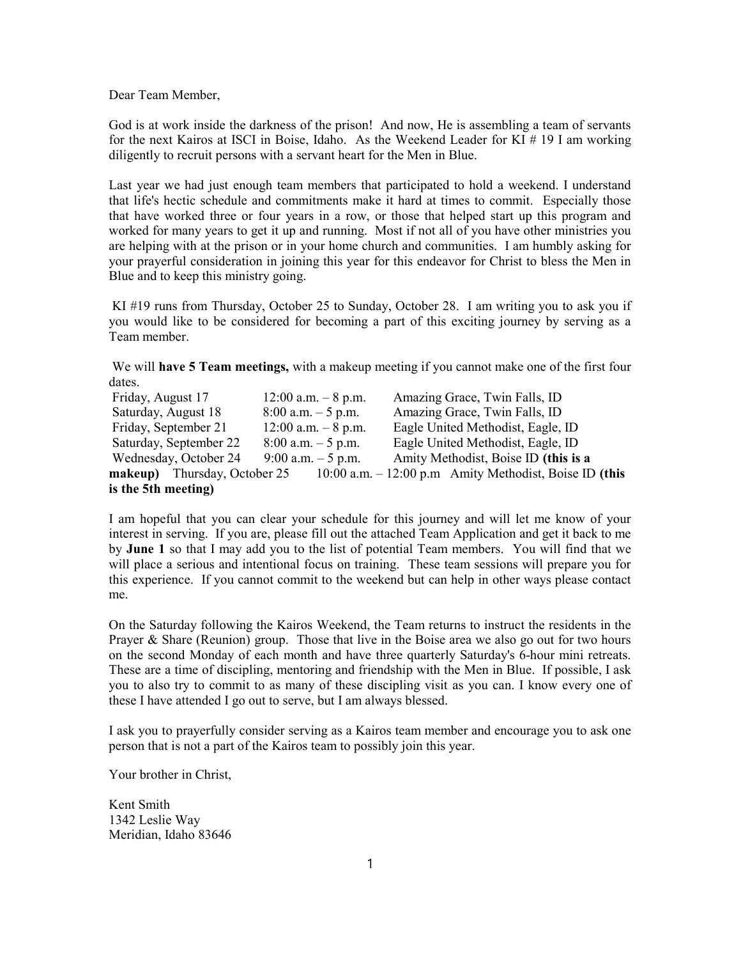Dear Team Member,

God is at work inside the darkness of the prison! And now, He is assembling a team of servants for the next Kairos at ISCI in Boise, Idaho. As the Weekend Leader for KI # 19 I am working diligently to recruit persons with a servant heart for the Men in Blue.

Last year we had just enough team members that participated to hold a weekend. I understand that life's hectic schedule and commitments make it hard at times to commit. Especially those that have worked three or four years in a row, or those that helped start up this program and worked for many years to get it up and running. Most if not all of you have other ministries you are helping with at the prison or in your home church and communities. I am humbly asking for your prayerful consideration in joining this year for this endeavor for Christ to bless the Men in Blue and to keep this ministry going.

KI #19 runs from Thursday, October 25 to Sunday, October 28. I am writing you to ask you if you would like to be considered for becoming a part of this exciting journey by serving as a Team member.

We will **have 5 Team meetings**, with a makeup meeting if you cannot make one of the first four dates.

| Friday, August 17      | $12:00$ a.m. $-8$ p.m. | Amazing Grace, Twin Falls, ID                                                                  |
|------------------------|------------------------|------------------------------------------------------------------------------------------------|
| Saturday, August 18    | $8:00$ a.m. $-5$ p.m.  | Amazing Grace, Twin Falls, ID                                                                  |
| Friday, September 21   | $12:00$ a.m. $-8$ p.m. | Eagle United Methodist, Eagle, ID                                                              |
| Saturday, September 22 | $8:00$ a.m. $-5$ p.m.  | Eagle United Methodist, Eagle, ID                                                              |
| Wednesday, October 24  | 9:00 a.m. $-5$ p.m.    | Amity Methodist, Boise ID (this is a                                                           |
|                        |                        | <b>makeup</b> ) Thursday, October 25 $10:00$ a.m. $-12:00$ p.m Amity Methodist, Boise ID (this |
| is the 5th meeting)    |                        |                                                                                                |

I am hopeful that you can clear your schedule for this journey and will let me know of your interest in serving. If you are, please fill out the attached Team Application and get it back to me by June 1 so that I may add you to the list of potential Team members. You will find that we will place a serious and intentional focus on training. These team sessions will prepare you for this experience. If you cannot commit to the weekend but can help in other ways please contact me.

On the Saturday following the Kairos Weekend, the Team returns to instruct the residents in the Prayer & Share (Reunion) group. Those that live in the Boise area we also go out for two hours on the second Monday of each month and have three quarterly Saturday's 6-hour mini retreats. These are a time of discipling, mentoring and friendship with the Men in Blue. If possible, I ask you to also try to commit to as many of these discipling visit as you can. I know every one of these I have attended I go out to serve, but I am always blessed.

I ask you to prayerfully consider serving as a Kairos team member and encourage you to ask one person that is not a part of the Kairos team to possibly join this year.

Your brother in Christ,

Kent Smith 1342 Leslie Way Meridian, Idaho 83646